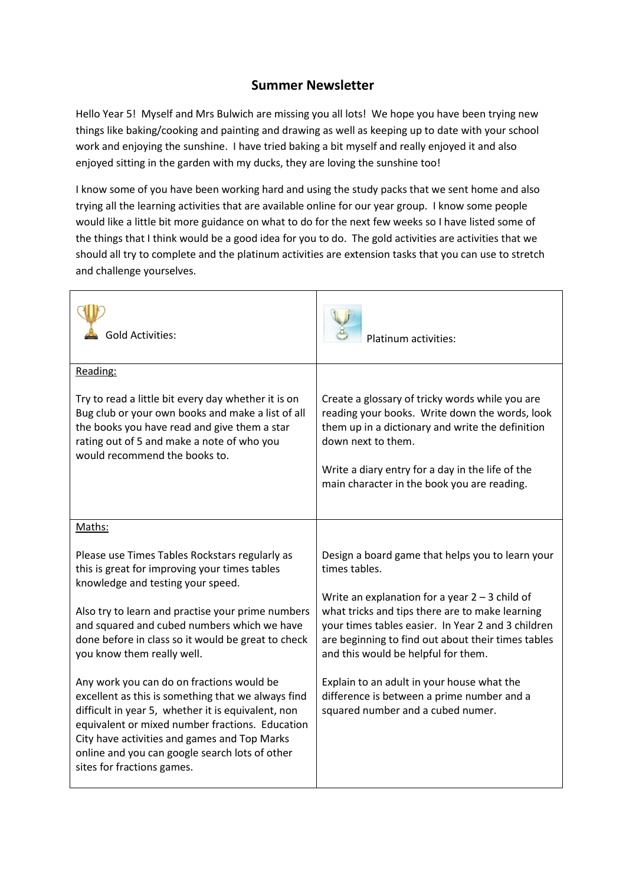## **Summer Newsletter**

Hello Year 5! Myself and Mrs Bulwich are missing you all lots! We hope you have been trying new things like baking/cooking and painting and drawing as well as keeping up to date with your school work and enjoying the sunshine. I have tried baking a bit myself and really enjoyed it and also enjoyed sitting in the garden with my ducks, they are loving the sunshine too!

I know some of you have been working hard and using the study packs that we sent home and also trying all the learning activities that are available online for our year group. I know some people would like a little bit more guidance on what to do for the next few weeks so I have listed some of the things that I think would be a good idea for you to do. The gold activities are activities that we should all try to complete and the platinum activities are extension tasks that you can use to stretch and challenge yourselves.

| <b>Gold Activities:</b>                                                                                                                                                                                                                                                                                                                  | Platinum activities:                                                                                                                                                                               |
|------------------------------------------------------------------------------------------------------------------------------------------------------------------------------------------------------------------------------------------------------------------------------------------------------------------------------------------|----------------------------------------------------------------------------------------------------------------------------------------------------------------------------------------------------|
| Reading:<br>Try to read a little bit every day whether it is on<br>Bug club or your own books and make a list of all<br>the books you have read and give them a star                                                                                                                                                                     | Create a glossary of tricky words while you are<br>reading your books. Write down the words, look<br>them up in a dictionary and write the definition                                              |
| rating out of 5 and make a note of who you<br>would recommend the books to.                                                                                                                                                                                                                                                              | down next to them.<br>Write a diary entry for a day in the life of the<br>main character in the book you are reading.                                                                              |
| Maths:                                                                                                                                                                                                                                                                                                                                   |                                                                                                                                                                                                    |
| Please use Times Tables Rockstars regularly as<br>this is great for improving your times tables<br>knowledge and testing your speed.                                                                                                                                                                                                     | Design a board game that helps you to learn your<br>times tables.<br>Write an explanation for a year $2 - 3$ child of                                                                              |
| Also try to learn and practise your prime numbers<br>and squared and cubed numbers which we have<br>done before in class so it would be great to check<br>you know them really well.                                                                                                                                                     | what tricks and tips there are to make learning<br>your times tables easier. In Year 2 and 3 children<br>are beginning to find out about their times tables<br>and this would be helpful for them. |
| Any work you can do on fractions would be<br>excellent as this is something that we always find<br>difficult in year 5, whether it is equivalent, non<br>equivalent or mixed number fractions. Education<br>City have activities and games and Top Marks<br>online and you can google search lots of other<br>sites for fractions games. | Explain to an adult in your house what the<br>difference is between a prime number and a<br>squared number and a cubed numer.                                                                      |